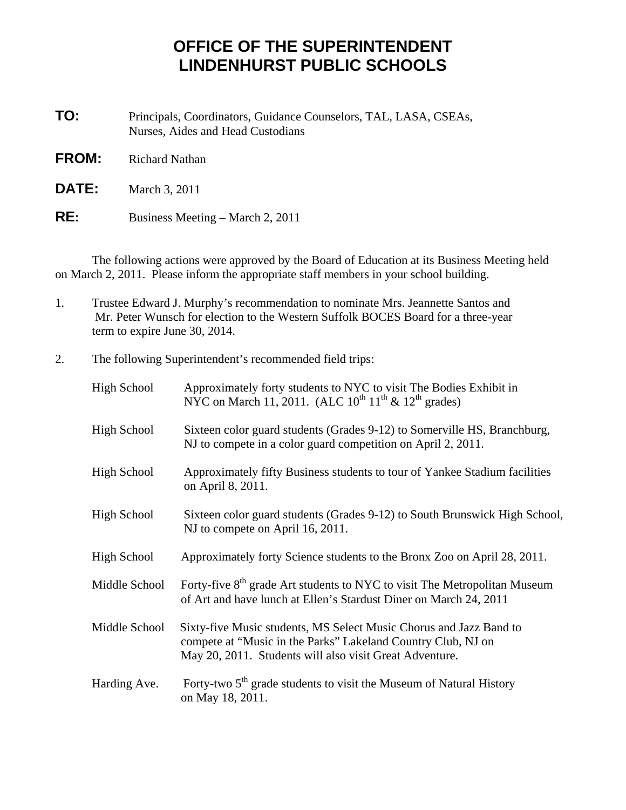## **OFFICE OF THE SUPERINTENDENT LINDENHURST PUBLIC SCHOOLS**

**TO:** Principals, Coordinators, Guidance Counselors, TAL, LASA, CSEAs, Nurses, Aides and Head Custodians

- **FROM:** Richard Nathan
- **DATE:** March 3, 2011
- **RE:** Business Meeting March 2, 2011

 The following actions were approved by the Board of Education at its Business Meeting held on March 2, 2011. Please inform the appropriate staff members in your school building.

- 1. Trustee Edward J. Murphy's recommendation to nominate Mrs. Jeannette Santos and Mr. Peter Wunsch for election to the Western Suffolk BOCES Board for a three-year term to expire June 30, 2014.
- 2. The following Superintendent's recommended field trips:

| High School        | Approximately forty students to NYC to visit The Bodies Exhibit in<br>NYC on March 11, 2011. (ALC $10^{th} 11^{th} \& 12^{th}$ grades)                                                        |
|--------------------|-----------------------------------------------------------------------------------------------------------------------------------------------------------------------------------------------|
| High School        | Sixteen color guard students (Grades 9-12) to Somerville HS, Branchburg,<br>NJ to compete in a color guard competition on April 2, 2011.                                                      |
| <b>High School</b> | Approximately fifty Business students to tour of Yankee Stadium facilities<br>on April 8, 2011.                                                                                               |
| High School        | Sixteen color guard students (Grades 9-12) to South Brunswick High School,<br>NJ to compete on April 16, 2011.                                                                                |
| High School        | Approximately forty Science students to the Bronx Zoo on April 28, 2011.                                                                                                                      |
| Middle School      | Forty-five 8 <sup>th</sup> grade Art students to NYC to visit The Metropolitan Museum<br>of Art and have lunch at Ellen's Stardust Diner on March 24, 2011                                    |
| Middle School      | Sixty-five Music students, MS Select Music Chorus and Jazz Band to<br>compete at "Music in the Parks" Lakeland Country Club, NJ on<br>May 20, 2011. Students will also visit Great Adventure. |
| Harding Ave.       | Forty-two 5 <sup>th</sup> grade students to visit the Museum of Natural History<br>on May 18, 2011.                                                                                           |